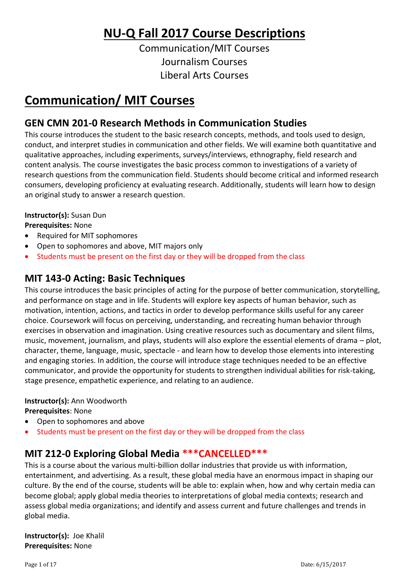# **NU-Q Fall 2017 Course Descriptions**

Communication/MIT Courses Journalism Courses Liberal Arts Courses

# **Communication/ MIT Courses**

# **GEN CMN 201-0 Research Methods in Communication Studies**

This course introduces the student to the basic research concepts, methods, and tools used to design, conduct, and interpret studies in communication and other fields. We will examine both quantitative and qualitative approaches, including experiments, surveys/interviews, ethnography, field research and content analysis. The course investigates the basic process common to investigations of a variety of research questions from the communication field. Students should become critical and informed research consumers, developing proficiency at evaluating research. Additionally, students will learn how to design an original study to answer a research question.

## **Instructor(s):** Susan Dun

## **Prerequisites:** None

- Required for MIT sophomores
- Open to sophomores and above, MIT majors only
- Students must be present on the first day or they will be dropped from the class

## **MIT 143-0 Acting: Basic Techniques**

This course introduces the basic principles of acting for the purpose of better communication, storytelling, and performance on stage and in life. Students will explore key aspects of human behavior, such as motivation, intention, actions, and tactics in order to develop performance skills useful for any career choice. Coursework will focus on perceiving, understanding, and recreating human behavior through exercises in observation and imagination. Using creative resources such as documentary and silent films, music, movement, journalism, and plays, students will also explore the essential elements of drama – plot, character, theme, language, music, spectacle - and learn how to develop those elements into interesting and engaging stories. In addition, the course will introduce stage techniques needed to be an effective communicator, and provide the opportunity for students to strengthen individual abilities for risk-taking, stage presence, empathetic experience, and relating to an audience.

## **Instructor(s):** Ann Woodworth

## **Prerequisites**: None

- Open to sophomores and above
- Students must be present on the first day or they will be dropped from the class

## **MIT 212-0 Exploring Global Media \*\*\*CANCELLED\*\*\***

This is a course about the various multi-billion dollar industries that provide us with information, entertainment, and advertising. As a result, these global media have an enormous impact in shaping our culture. By the end of the course, students will be able to: explain when, how and why certain media can become global; apply global media theories to interpretations of global media contexts; research and assess global media organizations; and identify and assess current and future challenges and trends in global media.

**Instructor(s):** Joe Khalil **Prerequisites:** None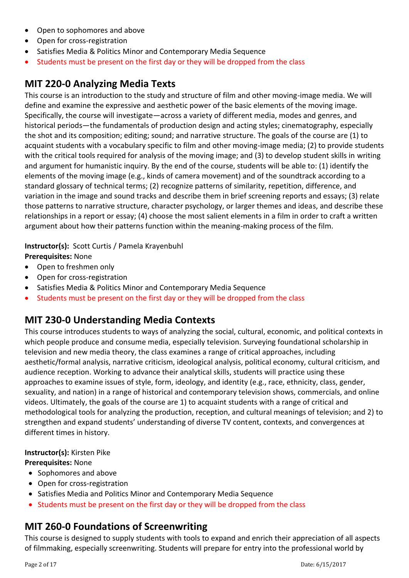- Open to sophomores and above
- Open for cross-registration
- Satisfies Media & Politics Minor and Contemporary Media Sequence
- Students must be present on the first day or they will be dropped from the class

## **MIT 220-0 Analyzing Media Texts**

This course is an introduction to the study and structure of film and other moving-image media. We will define and examine the expressive and aesthetic power of the basic elements of the moving image. Specifically, the course will investigate—across a variety of different media, modes and genres, and historical periods—the fundamentals of production design and acting styles; cinematography, especially the shot and its composition; editing; sound; and narrative structure. The goals of the course are (1) to acquaint students with a vocabulary specific to film and other moving-image media; (2) to provide students with the critical tools required for analysis of the moving image; and (3) to develop student skills in writing and argument for humanistic inquiry. By the end of the course, students will be able to: (1) identify the elements of the moving image (e.g., kinds of camera movement) and of the soundtrack according to a standard glossary of technical terms; (2) recognize patterns of similarity, repetition, difference, and variation in the image and sound tracks and describe them in brief screening reports and essays; (3) relate those patterns to narrative structure, character psychology, or larger themes and ideas, and describe these relationships in a report or essay; (4) choose the most salient elements in a film in order to craft a written argument about how their patterns function within the meaning-making process of the film.

**Instructor(s):** Scott Curtis / Pamela Krayenbuhl

**Prerequisites:** None

- Open to freshmen only
- Open for cross-registration
- Satisfies Media & Politics Minor and Contemporary Media Sequence
- Students must be present on the first day or they will be dropped from the class

## **MIT 230-0 Understanding Media Contexts**

This course introduces students to ways of analyzing the social, cultural, economic, and political contexts in which people produce and consume media, especially television. Surveying foundational scholarship in television and new media theory, the class examines a range of critical approaches, including aesthetic/formal analysis, narrative criticism, ideological analysis, political economy, cultural criticism, and audience reception. Working to advance their analytical skills, students will practice using these approaches to examine issues of style, form, ideology, and identity (e.g., race, ethnicity, class, gender, sexuality, and nation) in a range of historical and contemporary television shows, commercials, and online videos. Ultimately, the goals of the course are 1) to acquaint students with a range of critical and methodological tools for analyzing the production, reception, and cultural meanings of television; and 2) to strengthen and expand students' understanding of diverse TV content, contexts, and convergences at different times in history.

#### **Instructor(s):** Kirsten Pike

**Prerequisites:** None

- Sophomores and above
- Open for cross-registration
- Satisfies Media and Politics Minor and Contemporary Media Sequence
- Students must be present on the first day or they will be dropped from the class

# **MIT 260-0 Foundations of Screenwriting**

This course is designed to supply students with tools to expand and enrich their appreciation of all aspects of filmmaking, especially screenwriting. Students will prepare for entry into the professional world by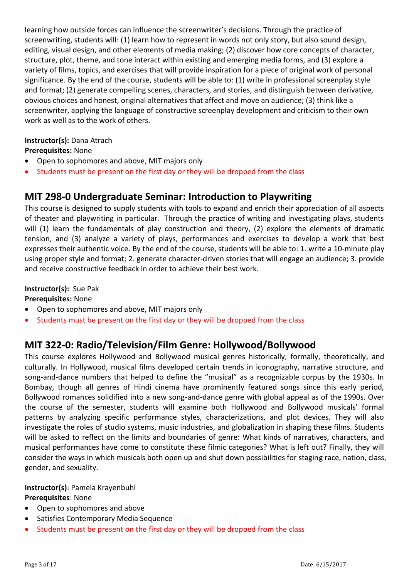learning how outside forces can influence the screenwriter's decisions. Through the practice of screenwriting, students will: (1) learn how to represent in words not only story, but also sound design, editing, visual design, and other elements of media making; (2) discover how core concepts of character, structure, plot, theme, and tone interact within existing and emerging media forms, and (3) explore a variety of films, topics, and exercises that will provide inspiration for a piece of original work of personal significance. By the end of the course, students will be able to: (1) write in professional screenplay style and format; (2) generate compelling scenes, characters, and stories, and distinguish between derivative, obvious choices and honest, original alternatives that affect and move an audience; (3) think like a screenwriter, applying the language of constructive screenplay development and criticism to their own work as well as to the work of others.

## **Instructor(s):** Dana Atrach

#### **Prerequisites:** None

- Open to sophomores and above, MIT majors only
- Students must be present on the first day or they will be dropped from the class

## **MIT 298-0 Undergraduate Seminar: Introduction to Playwriting**

This course is designed to supply students with tools to expand and enrich their appreciation of all aspects of theater and playwriting in particular. Through the practice of writing and investigating plays, students will (1) learn the fundamentals of play construction and theory, (2) explore the elements of dramatic tension, and (3) analyze a variety of plays, performances and exercises to develop a work that best expresses their authentic voice. By the end of the course, students will be able to: 1. write a 10-minute play using proper style and format; 2. generate character-driven stories that will engage an audience; 3. provide and receive constructive feedback in order to achieve their best work.

## **Instructor(s):** Sue Pak

**Prerequisites:** None

- Open to sophomores and above, MIT majors only
- Students must be present on the first day or they will be dropped from the class

## **MIT 322-0: Radio/Television/Film Genre: Hollywood/Bollywood**

This course explores Hollywood and Bollywood musical genres historically, formally, theoretically, and culturally. In Hollywood, musical films developed certain trends in iconography, narrative structure, and song-and-dance numbers that helped to define the "musical" as a recognizable corpus by the 1930s. In Bombay, though all genres of Hindi cinema have prominently featured songs since this early period, Bollywood romances solidified into a new song-and-dance genre with global appeal as of the 1990s. Over the course of the semester, students will examine both Hollywood and Bollywood musicals' formal patterns by analyzing specific performance styles, characterizations, and plot devices. They will also investigate the roles of studio systems, music industries, and globalization in shaping these films. Students will be asked to reflect on the limits and boundaries of genre: What kinds of narratives, characters, and musical performances have come to constitute these filmic categories? What is left out? Finally, they will consider the ways in which musicals both open up and shut down possibilities for staging race, nation, class, gender, and sexuality.

## **Instructor(s)**: Pamela Krayenbuhl

#### **Prerequisites**: None

- Open to sophomores and above
- Satisfies Contemporary Media Sequence
- Students must be present on the first day or they will be dropped from the class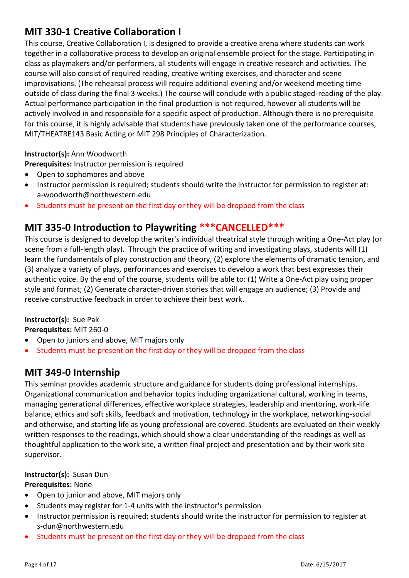## **MIT 330-1 Creative Collaboration I**

This course, Creative Collaboration I, is designed to provide a creative arena where students can work together in a collaborative process to develop an original ensemble project for the stage. Participating in class as playmakers and/or performers, all students will engage in creative research and activities. The course will also consist of required reading, creative writing exercises, and character and scene improvisations. (The rehearsal process will require additional evening and/or weekend meeting time outside of class during the final 3 weeks.) The course will conclude with a public staged-reading of the play. Actual performance participation in the final production is not required, however all students will be actively involved in and responsible for a specific aspect of production. Although there is no prerequisite for this course, it is highly advisable that students have previously taken one of the performance courses, MIT/THEATRE143 Basic Acting or MIT 298 Principles of Characterization.

## **Instructor(s):** Ann Woodworth

**Prerequisites:** Instructor permission is required

- Open to sophomores and above
- Instructor permission is required; students should write the instructor for permission to register at: a-woodworth@northwestern.edu
- Students must be present on the first day or they will be dropped from the class

## **MIT 335-0 Introduction to Playwriting \*\*\*CANCELLED\*\*\***

This course is designed to develop the writer's individual theatrical style through writing a One-Act play (or scene from a full-length play). Through the practice of writing and investigating plays, students will (1) learn the fundamentals of play construction and theory, (2) explore the elements of dramatic tension, and (3) analyze a variety of plays, performances and exercises to develop a work that best expresses their authentic voice. By the end of the course, students will be able to: (1) Write a One-Act play using proper style and format; (2) Generate character-driven stories that will engage an audience; (3) Provide and receive constructive feedback in order to achieve their best work.

## **Instructor(s):** Sue Pak

**Prerequisites:** MIT 260-0

- Open to juniors and above, MIT majors only
- Students must be present on the first day or they will be dropped from the class

## **MIT 349-0 Internship**

This seminar provides academic structure and guidance for students doing professional internships. Organizational communication and behavior topics including organizational cultural, working in teams, managing generational differences, effective workplace strategies, leadership and mentoring, work-life balance, ethics and soft skills, feedback and motivation, technology in the workplace, networking-social and otherwise, and starting life as young professional are covered. Students are evaluated on their weekly written responses to the readings, which should show a clear understanding of the readings as well as thoughtful application to the work site, a written final project and presentation and by their work site supervisor.

## **Instructor(s):** Susan Dun

## **Prerequisites:** None

- Open to junior and above, MIT majors only
- Students may register for 1-4 units with the instructor's permission
- Instructor permission is required; students should write the instructor for permission to register at s-dun@northwestern.edu
- Students must be present on the first day or they will be dropped from the class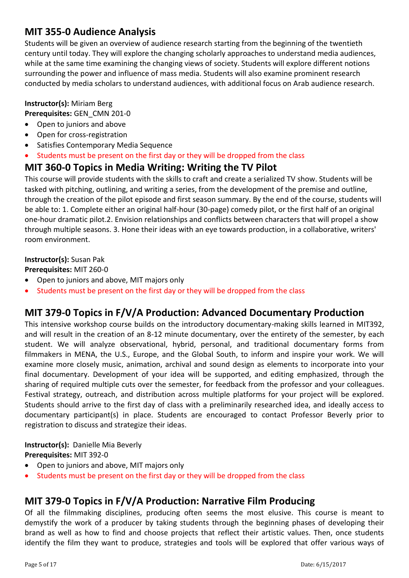## **MIT 355-0 Audience Analysis**

Students will be given an overview of audience research starting from the beginning of the twentieth century until today. They will explore the changing scholarly approaches to understand media audiences, while at the same time examining the changing views of society. Students will explore different notions surrounding the power and influence of mass media. Students will also examine prominent research conducted by media scholars to understand audiences, with additional focus on Arab audience research.

#### **Instructor(s):** Miriam Berg

**Prerequisites:** GEN\_CMN 201-0

- Open to juniors and above
- Open for cross-registration
- Satisfies Contemporary Media Sequence
- Students must be present on the first day or they will be dropped from the class

## **MIT 360-0 Topics in Media Writing: Writing the TV Pilot**

This course will provide students with the skills to craft and create a serialized TV show. Students will be tasked with pitching, outlining, and writing a series, from the development of the premise and outline, through the creation of the pilot episode and first season summary. By the end of the course, students will be able to: 1. Complete either an original half-hour (30-page) comedy pilot, or the first half of an original one-hour dramatic pilot.2. Envision relationships and conflicts between characters that will propel a show through multiple seasons. 3. Hone their ideas with an eye towards production, in a collaborative, writers' room environment.

#### **Instructor(s):** Susan Pak

**Prerequisites:** MIT 260-0

- Open to juniors and above, MIT majors only
- Students must be present on the first day or they will be dropped from the class

## **MIT 379-0 Topics in F/V/A Production: Advanced Documentary Production**

This intensive workshop course builds on the introductory documentary-making skills learned in MIT392, and will result in the creation of an 8-12 minute documentary, over the entirety of the semester, by each student. We will analyze observational, hybrid, personal, and traditional documentary forms from filmmakers in MENA, the U.S., Europe, and the Global South, to inform and inspire your work. We will examine more closely music, animation, archival and sound design as elements to incorporate into your final documentary. Development of your idea will be supported, and editing emphasized, through the sharing of required multiple cuts over the semester, for feedback from the professor and your colleagues. Festival strategy, outreach, and distribution across multiple platforms for your project will be explored. Students should arrive to the first day of class with a preliminarily researched idea, and ideally access to documentary participant(s) in place. Students are encouraged to contact Professor Beverly prior to registration to discuss and strategize their ideas.

**Instructor(s):** Danielle Mia Beverly **Prerequisites:** MIT 392-0

- Open to juniors and above, MIT majors only
- Students must be present on the first day or they will be dropped from the class

## **MIT 379-0 Topics in F/V/A Production: Narrative Film Producing**

Of all the filmmaking disciplines, producing often seems the most elusive. This course is meant to demystify the work of a producer by taking students through the beginning phases of developing their brand as well as how to find and choose projects that reflect their artistic values. Then, once students identify the film they want to produce, strategies and tools will be explored that offer various ways of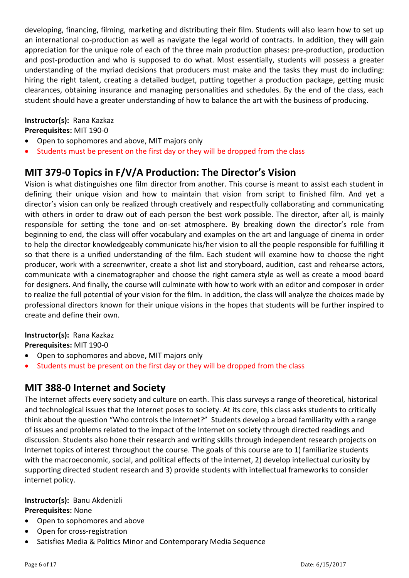developing, financing, filming, marketing and distributing their film. Students will also learn how to set up an international co-production as well as navigate the legal world of contracts. In addition, they will gain appreciation for the unique role of each of the three main production phases: pre-production, production and post-production and who is supposed to do what. Most essentially, students will possess a greater understanding of the myriad decisions that producers must make and the tasks they must do including: hiring the right talent, creating a detailed budget, putting together a production package, getting music clearances, obtaining insurance and managing personalities and schedules. By the end of the class, each student should have a greater understanding of how to balance the art with the business of producing.

#### **Instructor(s):** Rana Kazkaz

**Prerequisites:** MIT 190-0

- Open to sophomores and above, MIT majors only
- Students must be present on the first day or they will be dropped from the class

## **MIT 379-0 Topics in F/V/A Production: The Director's Vision**

Vision is what distinguishes one film director from another. This course is meant to assist each student in defining their unique vision and how to maintain that vision from script to finished film. And yet a director's vision can only be realized through creatively and respectfully collaborating and communicating with others in order to draw out of each person the best work possible. The director, after all, is mainly responsible for setting the tone and on-set atmosphere. By breaking down the director's role from beginning to end, the class will offer vocabulary and examples on the art and language of cinema in order to help the director knowledgeably communicate his/her vision to all the people responsible for fulfilling it so that there is a unified understanding of the film. Each student will examine how to choose the right producer, work with a screenwriter, create a shot list and storyboard, audition, cast and rehearse actors, communicate with a cinematographer and choose the right camera style as well as create a mood board for designers. And finally, the course will culminate with how to work with an editor and composer in order to realize the full potential of your vision for the film. In addition, the class will analyze the choices made by professional directors known for their unique visions in the hopes that students will be further inspired to create and define their own.

# **Instructor(s):** Rana Kazkaz

**Prerequisites:** MIT 190-0

- Open to sophomores and above, MIT majors only
- Students must be present on the first day or they will be dropped from the class

## **MIT 388-0 Internet and Society**

The Internet affects every society and culture on earth. This class surveys a range of theoretical, historical and technological issues that the Internet poses to society. At its core, this class asks students to critically think about the question "Who controls the Internet?" Students develop a broad familiarity with a range of issues and problems related to the impact of the Internet on society through directed readings and discussion. Students also hone their research and writing skills through independent research projects on Internet topics of interest throughout the course. The goals of this course are to 1) familiarize students with the macroeconomic, social, and political effects of the internet, 2) develop intellectual curiosity by supporting directed student research and 3) provide students with intellectual frameworks to consider internet policy.

#### **Instructor(s):** Banu Akdenizli

#### **Prerequisites:** None

- Open to sophomores and above
- Open for cross-registration
- Satisfies Media & Politics Minor and Contemporary Media Sequence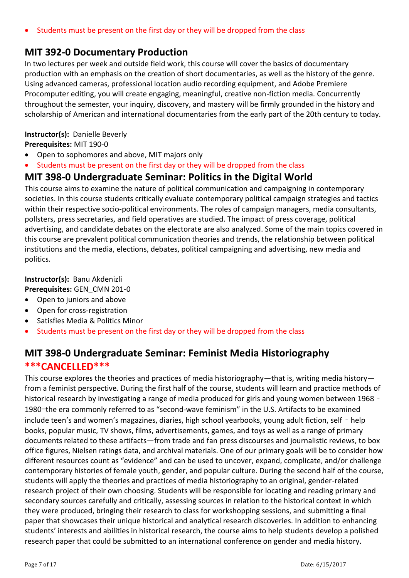## **MIT 392-0 Documentary Production**

In two lectures per week and outside field work, this course will cover the basics of documentary production with an emphasis on the creation of short documentaries, as well as the history of the genre. Using advanced cameras, professional location audio recording equipment, and Adobe Premiere Procomputer editing, you will create engaging, meaningful, creative non-fiction media. Concurrently throughout the semester, your inquiry, discovery, and mastery will be firmly grounded in the history and scholarship of American and international documentaries from the early part of the 20th century to today.

#### **Instructor(s):** Danielle Beverly

**Prerequisites:** MIT 190-0

- Open to sophomores and above, MIT majors only
- Students must be present on the first day or they will be dropped from the class

## **MIT 398-0 Undergraduate Seminar: Politics in the Digital World**

This course aims to examine the nature of political communication and campaigning in contemporary societies. In this course students critically evaluate contemporary political campaign strategies and tactics within their respective socio-political environments. The roles of campaign managers, media consultants, pollsters, press secretaries, and field operatives are studied. The impact of press coverage, political advertising, and candidate debates on the electorate are also analyzed. Some of the main topics covered in this course are prevalent political communication theories and trends, the relationship between political institutions and the media, elections, debates, political campaigning and advertising, new media and politics.

## **Instructor(s):** Banu Akdenizli

**Prerequisites:** GEN\_CMN 201-0

- Open to juniors and above
- Open for cross-registration
- Satisfies Media & Politics Minor
- Students must be present on the first day or they will be dropped from the class

## **MIT 398-0 Undergraduate Seminar: Feminist Media Historiography \*\*\*CANCELLED\*\*\***

This course explores the theories and practices of media historiography—that is, writing media history from a feminist perspective. During the first half of the course, students will learn and practice methods of historical research by investigating a range of media produced for girls and young women between 1968 -1980—the era commonly referred to as "second-wave feminism" in the U.S. Artifacts to be examined include teen's and women's magazines, diaries, high school yearbooks, young adult fiction, self - help books, popular music, TV shows, films, advertisements, games, and toys as well as a range of primary documents related to these artifacts—from trade and fan press discourses and journalistic reviews, to box office figures, Nielsen ratings data, and archival materials. One of our primary goals will be to consider how different resources count as "evidence" and can be used to uncover, expand, complicate, and/or challenge contemporary histories of female youth, gender, and popular culture. During the second half of the course, students will apply the theories and practices of media historiography to an original, gender-related research project of their own choosing. Students will be responsible for locating and reading primary and secondary sources carefully and critically, assessing sources in relation to the historical context in which they were produced, bringing their research to class for workshopping sessions, and submitting a final paper that showcases their unique historical and analytical research discoveries. In addition to enhancing students' interests and abilities in historical research, the course aims to help students develop a polished research paper that could be submitted to an international conference on gender and media history.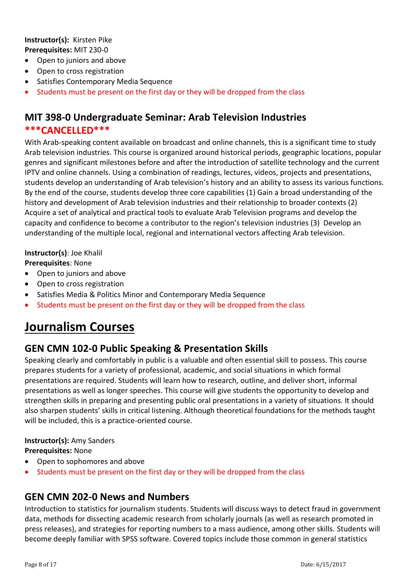#### **Instructor(s):** Kirsten Pike **Prerequisites:** MIT 230-0

- Open to juniors and above
- Open to cross registration
- Satisfies Contemporary Media Sequence
- Students must be present on the first day or they will be dropped from the class

## **MIT 398-0 Undergraduate Seminar: Arab Television Industries \*\*\*CANCELLED\*\*\***

With Arab-speaking content available on broadcast and online channels, this is a significant time to study Arab television industries. This course is organized around historical periods, geographic locations, popular genres and significant milestones before and after the introduction of satellite technology and the current IPTV and online channels. Using a combination of readings, lectures, videos, projects and presentations, students develop an understanding of Arab television's history and an ability to assess its various functions. By the end of the course, students develop three core capabilities (1) Gain a broad understanding of the history and development of Arab television industries and their relationship to broader contexts (2) Acquire a set of analytical and practical tools to evaluate Arab Television programs and develop the capacity and confidence to become a contributor to the region's television industries (3) Develop an understanding of the multiple local, regional and international vectors affecting Arab television.

#### **Instructor(s)**: Joe Khalil

**Prerequisites**: None

- Open to juniors and above
- Open to cross registration
- Satisfies Media & Politics Minor and Contemporary Media Sequence
- Students must be present on the first day or they will be dropped from the class

# **Journalism Courses**

## **GEN CMN 102-0 Public Speaking & Presentation Skills**

Speaking clearly and comfortably in public is a valuable and often essential skill to possess. This course prepares students for a variety of professional, academic, and social situations in which formal presentations are required. Students will learn how to research, outline, and deliver short, informal presentations as well as longer speeches. This course will give students the opportunity to develop and strengthen skills in preparing and presenting public oral presentations in a variety of situations. It should also sharpen students' skills in critical listening. Although theoretical foundations for the methods taught will be included, this is a practice-oriented course.

#### **Instructor(s):** Amy Sanders

**Prerequisites:** None

- Open to sophomores and above
- Students must be present on the first day or they will be dropped from the class

## **GEN CMN 202-0 News and Numbers**

Introduction to statistics for journalism students. Students will discuss ways to detect fraud in government data, methods for dissecting academic research from scholarly journals (as well as research promoted in press releases), and strategies for reporting numbers to a mass audience, among other skills. Students will become deeply familiar with SPSS software. Covered topics include those common in general statistics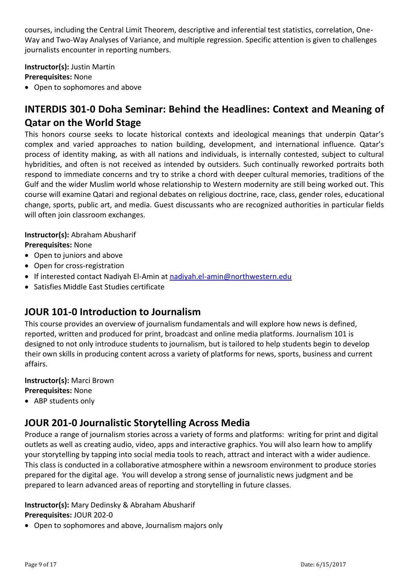courses, including the Central Limit Theorem, descriptive and inferential test statistics, correlation, One-Way and Two-Way Analyses of Variance, and multiple regression. Specific attention is given to challenges journalists encounter in reporting numbers.

**Instructor(s):** Justin Martin **Prerequisites:** None

Open to sophomores and above

# **INTERDIS 301-0 Doha Seminar: Behind the Headlines: Context and Meaning of Qatar on the World Stage**

This honors course seeks to locate historical contexts and ideological meanings that underpin Qatar's complex and varied approaches to nation building, development, and international influence. Qatar's process of identity making, as with all nations and individuals, is internally contested, subject to cultural hybridities, and often is not received as intended by outsiders. Such continually reworked portraits both respond to immediate concerns and try to strike a chord with deeper cultural memories, traditions of the Gulf and the wider Muslim world whose relationship to Western modernity are still being worked out. This course will examine Qatari and regional debates on religious doctrine, race, class, gender roles, educational change, sports, public art, and media. Guest discussants who are recognized authorities in particular fields will often join classroom exchanges.

**Instructor(s):** Abraham Abusharif **Prerequisites:** None

- Open to juniors and above
- Open for cross-registration
- If interested contact Nadiyah El-Amin at [nadiyah.el-amin@northwestern.edu](mailto:nadiyah.el-amin@northwestern.edu)
- Satisfies Middle East Studies certificate

## **JOUR 101-0 Introduction to Journalism**

This course provides an overview of journalism fundamentals and will explore how news is defined, reported, written and produced for print, broadcast and online media platforms. Journalism 101 is designed to not only introduce students to journalism, but is tailored to help students begin to develop their own skills in producing content across a variety of platforms for news, sports, business and current affairs.

# **Instructor(s):** Marci Brown

**Prerequisites:** None

• ABP students only

## **JOUR 201-0 Journalistic Storytelling Across Media**

Produce a range of journalism stories across a variety of forms and platforms: writing for print and digital outlets as well as creating audio, video, apps and interactive graphics. You will also learn how to amplify your storytelling by tapping into social media tools to reach, attract and interact with a wider audience. This class is conducted in a collaborative atmosphere within a newsroom environment to produce stories prepared for the digital age. You will develop a strong sense of journalistic news judgment and be prepared to learn advanced areas of reporting and storytelling in future classes.

## **Instructor(s):** Mary Dedinsky & Abraham Abusharif **Prerequisites:** JOUR 202-0

Open to sophomores and above, Journalism majors only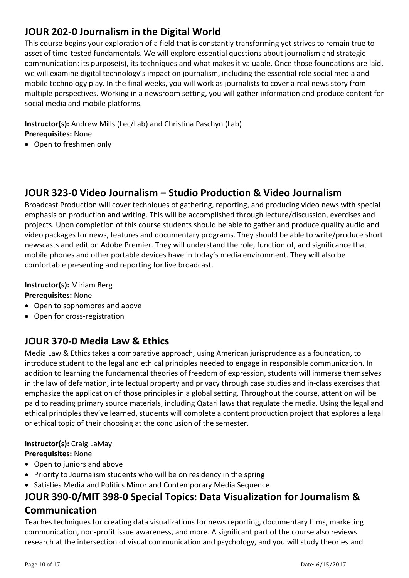# **JOUR 202-0 Journalism in the Digital World**

This course begins your exploration of a field that is constantly transforming yet strives to remain true to asset of time-tested fundamentals. We will explore essential questions about journalism and strategic communication: its purpose(s), its techniques and what makes it valuable. Once those foundations are laid, we will examine digital technology's impact on journalism, including the essential role social media and mobile technology play. In the final weeks, you will work as journalists to cover a real news story from multiple perspectives. Working in a newsroom setting, you will gather information and produce content for social media and mobile platforms.

**Instructor(s):** Andrew Mills (Lec/Lab) and Christina Paschyn (Lab) **Prerequisites:** None

Open to freshmen only

## **JOUR 323-0 Video Journalism – Studio Production & Video Journalism**

Broadcast Production will cover techniques of gathering, reporting, and producing video news with special emphasis on production and writing. This will be accomplished through lecture/discussion, exercises and projects. Upon completion of this course students should be able to gather and produce quality audio and video packages for news, features and documentary programs. They should be able to write/produce short newscasts and edit on Adobe Premier. They will understand the role, function of, and significance that mobile phones and other portable devices have in today's media environment. They will also be comfortable presenting and reporting for live broadcast.

#### **Instructor(s):** Miriam Berg

## **Prerequisites:** None

- Open to sophomores and above
- Open for cross-registration

## **JOUR 370-0 Media Law & Ethics**

Media Law & Ethics takes a comparative approach, using American jurisprudence as a foundation, to introduce student to the legal and ethical principles needed to engage in responsible communication. In addition to learning the fundamental theories of freedom of expression, students will immerse themselves in the law of defamation, intellectual property and privacy through case studies and in-class exercises that emphasize the application of those principles in a global setting. Throughout the course, attention will be paid to reading primary source materials, including Qatari laws that regulate the media. Using the legal and ethical principles they've learned, students will complete a content production project that explores a legal or ethical topic of their choosing at the conclusion of the semester.

## **Instructor(s):** Craig LaMay

## **Prerequisites:** None

- Open to juniors and above
- Priority to Journalism students who will be on residency in the spring
- Satisfies Media and Politics Minor and Contemporary Media Sequence

## **JOUR 390-0/MIT 398-0 Special Topics: Data Visualization for Journalism & Communication**

Teaches techniques for creating data visualizations for news reporting, documentary films, marketing communication, non-profit issue awareness, and more. A significant part of the course also reviews research at the intersection of visual communication and psychology, and you will study theories and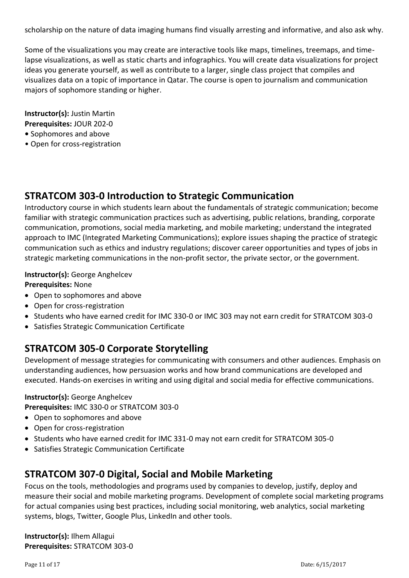scholarship on the nature of data imaging humans find visually arresting and informative, and also ask why.

Some of the visualizations you may create are interactive tools like maps, timelines, treemaps, and timelapse visualizations, as well as static charts and infographics. You will create data visualizations for project ideas you generate yourself, as well as contribute to a larger, single class project that compiles and visualizes data on a topic of importance in Qatar. The course is open to journalism and communication majors of sophomore standing or higher.

**Instructor(s):** Justin Martin **Prerequisites:** JOUR 202-0

- Sophomores and above
- Open for cross-registration

## **STRATCOM 303-0 Introduction to Strategic Communication**

Introductory course in which students learn about the fundamentals of strategic communication; become familiar with strategic communication practices such as advertising, public relations, branding, corporate communication, promotions, social media marketing, and mobile marketing; understand the integrated approach to IMC (Integrated Marketing Communications); explore issues shaping the practice of strategic communication such as ethics and industry regulations; discover career opportunities and types of jobs in strategic marketing communications in the non-profit sector, the private sector, or the government.

## **Instructor(s):** George Anghelcev

**Prerequisites:** None

- Open to sophomores and above
- Open for cross-registration
- Students who have earned credit for IMC 330-0 or IMC 303 may not earn credit for STRATCOM 303-0
- Satisfies Strategic Communication Certificate

# **STRATCOM 305-0 Corporate Storytelling**

Development of message strategies for communicating with consumers and other audiences. Emphasis on understanding audiences, how persuasion works and how brand communications are developed and executed. Hands-on exercises in writing and using digital and social media for effective communications.

#### **Instructor(s):** George Anghelcev

**Prerequisites:** IMC 330-0 or STRATCOM 303-0

- Open to sophomores and above
- Open for cross-registration
- Students who have earned credit for IMC 331-0 may not earn credit for STRATCOM 305-0
- Satisfies Strategic Communication Certificate

## **STRATCOM 307-0 Digital, Social and Mobile Marketing**

Focus on the tools, methodologies and programs used by companies to develop, justify, deploy and measure their social and mobile marketing programs. Development of complete social marketing programs for actual companies using best practices, including social monitoring, web analytics, social marketing systems, blogs, Twitter, Google Plus, LinkedIn and other tools.

**Instructor(s):** Ilhem Allagui **Prerequisites:** STRATCOM 303-0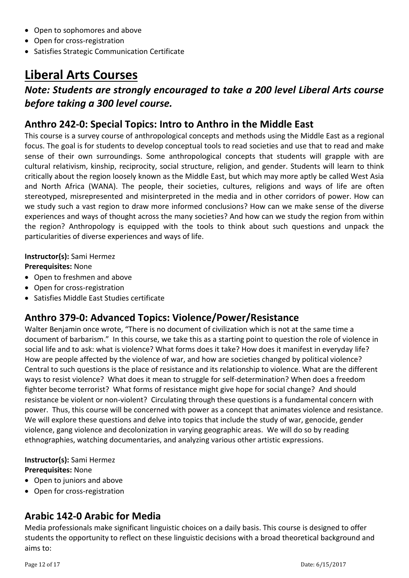- Open to sophomores and above
- Open for cross-registration
- Satisfies Strategic Communication Certificate

# **Liberal Arts Courses**

# *Note: Students are strongly encouraged to take a 200 level Liberal Arts course before taking a 300 level course.*

# **Anthro 242-0: Special Topics: Intro to Anthro in the Middle East**

This course is a survey course of anthropological concepts and methods using the Middle East as a regional focus. The goal is for students to develop conceptual tools to read societies and use that to read and make sense of their own surroundings. Some anthropological concepts that students will grapple with are cultural relativism, kinship, reciprocity, social structure, religion, and gender. Students will learn to think critically about the region loosely known as the Middle East, but which may more aptly be called West Asia and North Africa (WANA). The people, their societies, cultures, religions and ways of life are often stereotyped, misrepresented and misinterpreted in the media and in other corridors of power. How can we study such a vast region to draw more informed conclusions? How can we make sense of the diverse experiences and ways of thought across the many societies? And how can we study the region from within the region? Anthropology is equipped with the tools to think about such questions and unpack the particularities of diverse experiences and ways of life.

## **Instructor(s):** Sami Hermez

**Prerequisites:** None

- Open to freshmen and above
- Open for cross-registration
- Satisfies Middle East Studies certificate

# **Anthro 379-0: Advanced Topics: Violence/Power/Resistance**

Walter Benjamin once wrote, "There is no document of civilization which is not at the same time a document of barbarism." In this course, we take this as a starting point to question the role of violence in social life and to ask: what is violence? What forms does it take? How does it manifest in everyday life? How are people affected by the violence of war, and how are societies changed by political violence? Central to such questions is the place of resistance and its relationship to violence. What are the different ways to resist violence? What does it mean to struggle for self-determination? When does a freedom fighter become terrorist? What forms of resistance might give hope for social change? And should resistance be violent or non-violent? Circulating through these questions is a fundamental concern with power. Thus, this course will be concerned with power as a concept that animates violence and resistance. We will explore these questions and delve into topics that include the study of war, genocide, gender violence, gang violence and decolonization in varying geographic areas. We will do so by reading ethnographies, watching documentaries, and analyzing various other artistic expressions.

#### **Instructor(s):** Sami Hermez **Prerequisites:** None

- Open to juniors and above
- Open for cross-registration

# **Arabic 142-0 Arabic for Media**

Media professionals make significant linguistic choices on a daily basis. This course is designed to offer students the opportunity to reflect on these linguistic decisions with a broad theoretical background and aims to: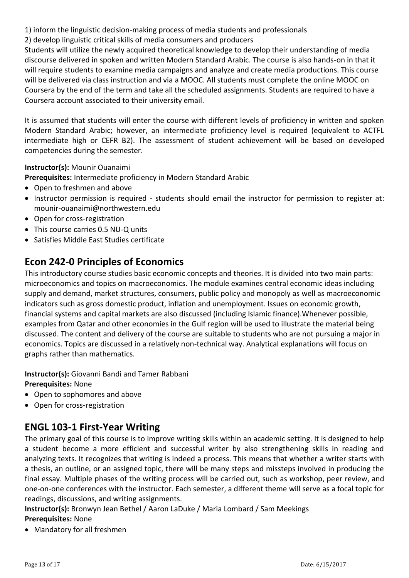1) inform the linguistic decision-making process of media students and professionals

2) develop linguistic critical skills of media consumers and producers

Students will utilize the newly acquired theoretical knowledge to develop their understanding of media discourse delivered in spoken and written Modern Standard Arabic. The course is also hands-on in that it will require students to examine media campaigns and analyze and create media productions. This course will be delivered via class instruction and via a MOOC. All students must complete the online MOOC on Coursera by the end of the term and take all the scheduled assignments. Students are required to have a Coursera account associated to their university email.

It is assumed that students will enter the course with different levels of proficiency in written and spoken Modern Standard Arabic; however, an intermediate proficiency level is required (equivalent to ACTFL intermediate high or CEFR B2). The assessment of student achievement will be based on developed competencies during the semester.

#### **Instructor(s):** Mounir Ouanaimi

**Prerequisites:** Intermediate proficiency in Modern Standard Arabic

- Open to freshmen and above
- Instructor permission is required students should email the instructor for permission to register at: mounir-ouanaimi@northwestern.edu
- Open for cross-registration
- This course carries 0.5 NU-Q units
- Satisfies Middle East Studies certificate

## **Econ 242-0 Principles of Economics**

This introductory course studies basic economic concepts and theories. It is divided into two main parts: microeconomics and topics on macroeconomics. The module examines central economic ideas including supply and demand, market structures, consumers, public policy and monopoly as well as macroeconomic indicators such as gross domestic product, inflation and unemployment. Issues on economic growth, financial systems and capital markets are also discussed (including Islamic finance).Whenever possible, examples from Qatar and other economies in the Gulf region will be used to illustrate the material being discussed. The content and delivery of the course are suitable to students who are not pursuing a major in economics. Topics are discussed in a relatively non‐technical way. Analytical explanations will focus on graphs rather than mathematics.

**Instructor(s):** Giovanni Bandi and Tamer Rabbani **Prerequisites:** None

- Open to sophomores and above
- Open for cross-registration

## **ENGL 103-1 First-Year Writing**

The primary goal of this course is to improve writing skills within an academic setting. It is designed to help a student become a more efficient and successful writer by also strengthening skills in reading and analyzing texts. It recognizes that writing is indeed a process. This means that whether a writer starts with a thesis, an outline, or an assigned topic, there will be many steps and missteps involved in producing the final essay. Multiple phases of the writing process will be carried out, such as workshop, peer review, and one-on-one conferences with the instructor. Each semester, a different theme will serve as a focal topic for readings, discussions, and writing assignments.

**Instructor(s):** Bronwyn Jean Bethel / Aaron LaDuke / Maria Lombard / Sam Meekings **Prerequisites:** None

• Mandatory for all freshmen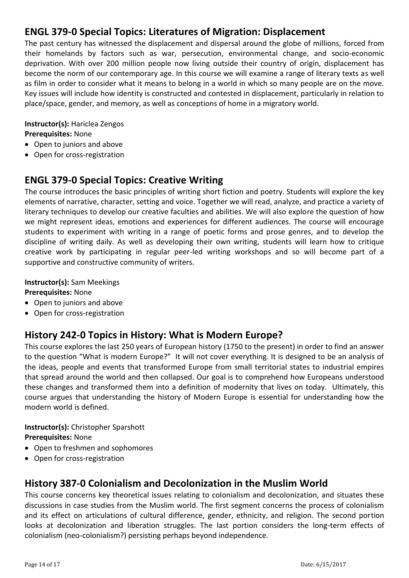## **ENGL 379-0 Special Topics: Literatures of Migration: Displacement**

The past century has witnessed the displacement and dispersal around the globe of millions, forced from their homelands by factors such as war, persecution, environmental change, and socio-economic deprivation. With over 200 million people now living outside their country of origin, displacement has become the norm of our contemporary age. In this course we will examine a range of literary texts as well as film in order to consider what it means to belong in a world in which so many people are on the move. Key issues will include how identity is constructed and contested in displacement, particularly in relation to place/space, gender, and memory, as well as conceptions of home in a migratory world.

**Instructor(s):** Hariclea Zengos **Prerequisites:** None

- Open to juniors and above
- Open for cross-registration

## **ENGL 379-0 Special Topics: Creative Writing**

The course introduces the basic principles of writing short fiction and poetry. Students will explore the key elements of narrative, character, setting and voice. Together we will read, analyze, and practice a variety of literary techniques to develop our creative faculties and abilities. We will also explore the question of how we might represent ideas, emotions and experiences for different audiences. The course will encourage students to experiment with writing in a range of poetic forms and prose genres, and to develop the discipline of writing daily. As well as developing their own writing, students will learn how to critique creative work by participating in regular peer-led writing workshops and so will become part of a supportive and constructive community of writers.

#### **Instructor(s):** Sam Meekings

#### **Prerequisites:** None

- Open to juniors and above
- Open for cross-registration

## **History 242-0 Topics in History: What is Modern Europe?**

This course explores the last 250 years of European history (1750 to the present) in order to find an answer to the question "What is modern Europe?" It will not cover everything. It is designed to be an analysis of the ideas, people and events that transformed Europe from small territorial states to industrial empires that spread around the world and then collapsed. Our goal is to comprehend how Europeans understood these changes and transformed them into a definition of modernity that lives on today. Ultimately, this course argues that understanding the history of Modern Europe is essential for understanding how the modern world is defined.

#### **Instructor(s):** Christopher Sparshott **Prerequisites:** None

- Open to freshmen and sophomores
- Open for cross-registration

## **History 387-0 Colonialism and Decolonization in the Muslim World**

This course concerns key theoretical issues relating to colonialism and decolonization, and situates these discussions in case studies from the Muslim world. The first segment concerns the process of colonialism and its effect on articulations of cultural difference, gender, ethnicity, and religion. The second portion looks at decolonization and liberation struggles. The last portion considers the long-term effects of colonialism (neo-colonialism?) persisting perhaps beyond independence.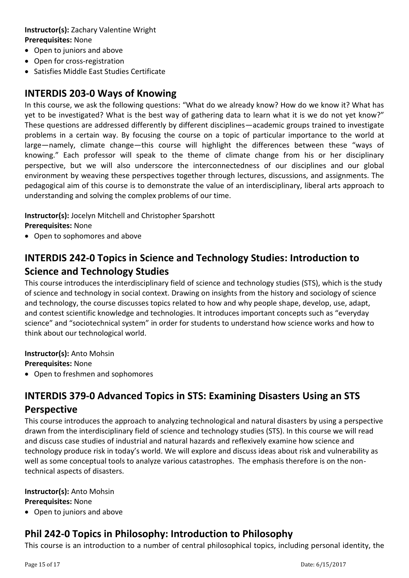## **Instructor(s):** Zachary Valentine Wright **Prerequisites:** None

- Open to juniors and above
- Open for cross-registration
- Satisfies Middle East Studies Certificate

## **INTERDIS 203-0 Ways of Knowing**

In this course, we ask the following questions: "What do we already know? How do we know it? What has yet to be investigated? What is the best way of gathering data to learn what it is we do not yet know?" These questions are addressed differently by different disciplines—academic groups trained to investigate problems in a certain way. By focusing the course on a topic of particular importance to the world at large—namely, climate change—this course will highlight the differences between these "ways of knowing." Each professor will speak to the theme of climate change from his or her disciplinary perspective, but we will also underscore the interconnectedness of our disciplines and our global environment by weaving these perspectives together through lectures, discussions, and assignments. The pedagogical aim of this course is to demonstrate the value of an interdisciplinary, liberal arts approach to understanding and solving the complex problems of our time.

**Instructor(s):** Jocelyn Mitchell and Christopher Sparshott **Prerequisites:** None

Open to sophomores and above

# **INTERDIS 242-0 Topics in Science and Technology Studies: Introduction to Science and Technology Studies**

This course introduces the interdisciplinary field of science and technology studies (STS), which is the study of science and technology in social context. Drawing on insights from the history and sociology of science and technology, the course discusses topics related to how and why people shape, develop, use, adapt, and contest scientific knowledge and technologies. It introduces important concepts such as "everyday science" and "sociotechnical system" in order for students to understand how science works and how to think about our technological world.

**Instructor(s):** Anto Mohsin

**Prerequisites:** None

Open to freshmen and sophomores

# **INTERDIS 379-0 Advanced Topics in STS: Examining Disasters Using an STS Perspective**

This course introduces the approach to analyzing technological and natural disasters by using a perspective drawn from the interdisciplinary field of science and technology studies (STS). In this course we will read and discuss case studies of industrial and natural hazards and reflexively examine how science and technology produce risk in today's world. We will explore and discuss ideas about risk and vulnerability as well as some conceptual tools to analyze various catastrophes. The emphasis therefore is on the nontechnical aspects of disasters.

# **Instructor(s):** Anto Mohsin

**Prerequisites:** None

• Open to juniors and above

# **Phil 242-0 Topics in Philosophy: Introduction to Philosophy**

This course is an introduction to a number of central philosophical topics, including personal identity, the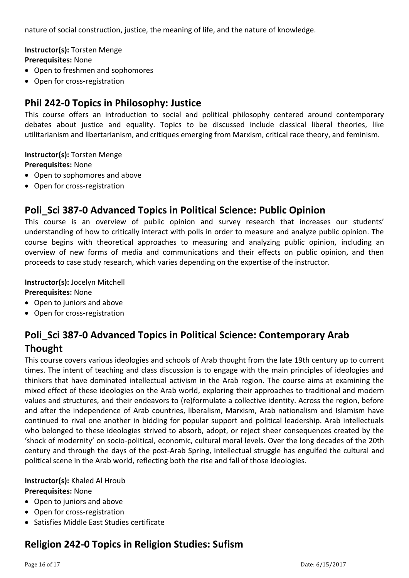nature of social construction, justice, the meaning of life, and the nature of knowledge.

**Instructor(s):** Torsten Menge

**Prerequisites:** None

- Open to freshmen and sophomores
- Open for cross-registration

## **Phil 242-0 Topics in Philosophy: Justice**

This course offers an introduction to social and political philosophy centered around contemporary debates about justice and equality. Topics to be discussed include classical liberal theories, like utilitarianism and libertarianism, and critiques emerging from Marxism, critical race theory, and feminism.

**Instructor(s):** Torsten Menge **Prerequisites:** None

- Open to sophomores and above
- Open for cross-registration

## **Poli\_Sci 387-0 Advanced Topics in Political Science: Public Opinion**

This course is an overview of public opinion and survey research that increases our students' understanding of how to critically interact with polls in order to measure and analyze public opinion. The course begins with theoretical approaches to measuring and analyzing public opinion, including an overview of new forms of media and communications and their effects on public opinion, and then proceeds to case study research, which varies depending on the expertise of the instructor.

#### **Instructor(s):** Jocelyn Mitchell

**Prerequisites:** None

- Open to juniors and above
- Open for cross-registration

## **Poli\_Sci 387-0 Advanced Topics in Political Science: Contemporary Arab Thought**

This course covers various ideologies and schools of Arab thought from the late 19th century up to current times. The intent of teaching and class discussion is to engage with the main principles of ideologies and thinkers that have dominated intellectual activism in the Arab region. The course aims at examining the mixed effect of these ideologies on the Arab world, exploring their approaches to traditional and modern values and structures, and their endeavors to (re)formulate a collective identity. Across the region, before and after the independence of Arab countries, liberalism, Marxism, Arab nationalism and Islamism have continued to rival one another in bidding for popular support and political leadership. Arab intellectuals who belonged to these ideologies strived to absorb, adopt, or reject sheer consequences created by the 'shock of modernity' on socio-political, economic, cultural moral levels. Over the long decades of the 20th century and through the days of the post-Arab Spring, intellectual struggle has engulfed the cultural and political scene in the Arab world, reflecting both the rise and fall of those ideologies.

#### **Instructor(s):** Khaled Al Hroub **Prerequisites:** None

- Open to juniors and above
- Open for cross-registration
- Satisfies Middle East Studies certificate

## **Religion 242-0 Topics in Religion Studies: Sufism**